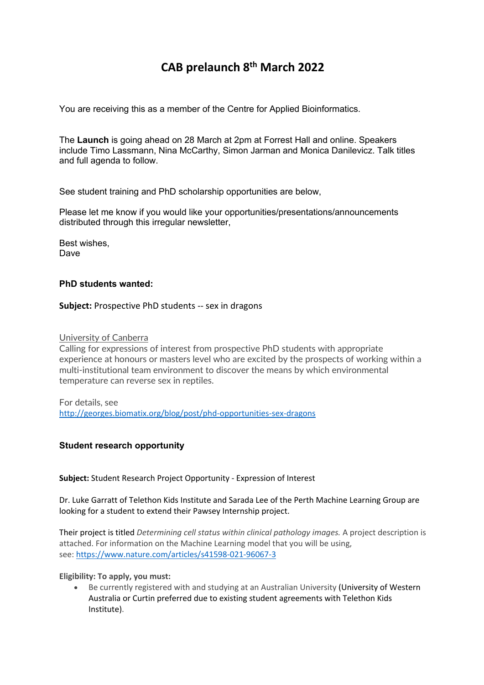# **CAB prelaunch 8th March 2022**

You are receiving this as a member of the Centre for Applied Bioinformatics.

The **Launch** is going ahead on 28 March at 2pm at Forrest Hall and online. Speakers include Timo Lassmann, Nina McCarthy, Simon Jarman and Monica Danilevicz. Talk titles and full agenda to follow.

See student training and PhD scholarship opportunities are below,

Please let me know if you would like your opportunities/presentations/announcements distributed through this irregular newsletter,

Best wishes, Dave

# **PhD students wanted:**

#### **Subject:** Prospective PhD students -- sex in dragons

#### University of Canberra

Calling for expressions of interest from prospective PhD students with appropriate experience at honours or masters level who are excited by the prospects of working within a multi-institutional team environment to discover the means by which environmental temperature can reverse sex in reptiles.

For details, see http://georges.biomatix.org/blog/post/phd-opportunities-sex-dragons

## **Student research opportunity**

#### **Subject:** Student Research Project Opportunity - Expression of Interest

Dr. Luke Garratt of Telethon Kids Institute and Sarada Lee of the Perth Machine Learning Group are looking for a student to extend their Pawsey Internship project.

Their project is titled *Determining cell status within clinical pathology images.* A project description is attached. For information on the Machine Learning model that you will be using, see: https://www.nature.com/articles/s41598-021-96067-3

#### **Eligibility: To apply, you must:**

• Be currently registered with and studying at an Australian University (University of Western Australia or Curtin preferred due to existing student agreements with Telethon Kids Institute).